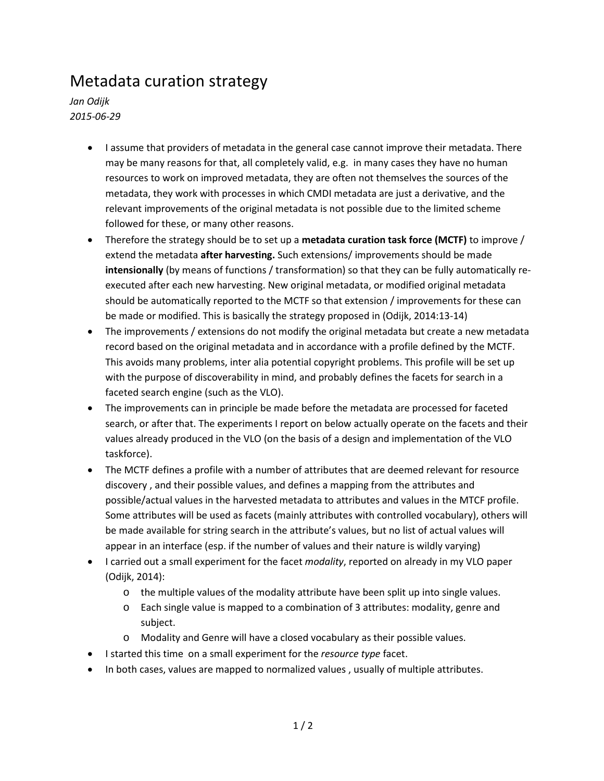## Metadata curation strategy

*Jan Odijk 2015-06-29*

- I assume that providers of metadata in the general case cannot improve their metadata. There may be many reasons for that, all completely valid, e.g. in many cases they have no human resources to work on improved metadata, they are often not themselves the sources of the metadata, they work with processes in which CMDI metadata are just a derivative, and the relevant improvements of the original metadata is not possible due to the limited scheme followed for these, or many other reasons.
- Therefore the strategy should be to set up a **metadata curation task force (MCTF)** to improve / extend the metadata **after harvesting.** Such extensions/ improvements should be made **intensionally** (by means of functions / transformation) so that they can be fully automatically reexecuted after each new harvesting. New original metadata, or modified original metadata should be automatically reported to the MCTF so that extension / improvements for these can be made or modified. This is basically the strategy proposed in (Odijk, 2014:13-14)
- The improvements / extensions do not modify the original metadata but create a new metadata record based on the original metadata and in accordance with a profile defined by the MCTF. This avoids many problems, inter alia potential copyright problems. This profile will be set up with the purpose of discoverability in mind, and probably defines the facets for search in a faceted search engine (such as the VLO).
- The improvements can in principle be made before the metadata are processed for faceted search, or after that. The experiments I report on below actually operate on the facets and their values already produced in the VLO (on the basis of a design and implementation of the VLO taskforce).
- The MCTF defines a profile with a number of attributes that are deemed relevant for resource discovery , and their possible values, and defines a mapping from the attributes and possible/actual values in the harvested metadata to attributes and values in the MTCF profile. Some attributes will be used as facets (mainly attributes with controlled vocabulary), others will be made available for string search in the attribute's values, but no list of actual values will appear in an interface (esp. if the number of values and their nature is wildly varying)
- I carried out a small experiment for the facet *modality*, reported on already in my VLO paper (Odijk, 2014):
	- $\circ$  the multiple values of the modality attribute have been split up into single values.
	- o Each single value is mapped to a combination of 3 attributes: modality, genre and subject.
	- o Modality and Genre will have a closed vocabulary as their possible values.
- I started this time on a small experiment for the *resource type* facet.
- In both cases, values are mapped to normalized values , usually of multiple attributes.